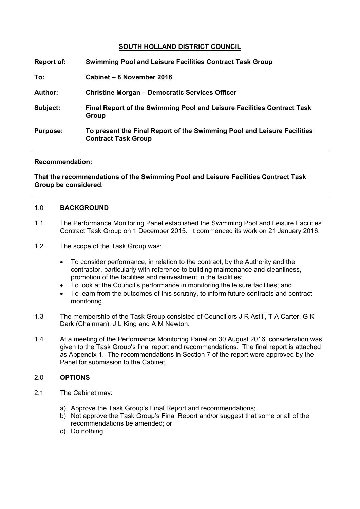# **SOUTH HOLLAND DISTRICT COUNCIL**

| <b>Report of:</b> | <b>Swimming Pool and Leisure Facilities Contract Task Group</b>                                       |
|-------------------|-------------------------------------------------------------------------------------------------------|
| To:               | Cabinet - 8 November 2016                                                                             |
| <b>Author:</b>    | <b>Christine Morgan – Democratic Services Officer</b>                                                 |
| Subject:          | Final Report of the Swimming Pool and Leisure Facilities Contract Task<br>Group                       |
| <b>Purpose:</b>   | To present the Final Report of the Swimming Pool and Leisure Facilities<br><b>Contract Task Group</b> |

## **Recommendation:**

**That the recommendations of the Swimming Pool and Leisure Facilities Contract Task Group be considered.**

## 1.0 **BACKGROUND**

- 1.1 The Performance Monitoring Panel established the Swimming Pool and Leisure Facilities Contract Task Group on 1 December 2015. It commenced its work on 21 January 2016.
- 1.2 The scope of the Task Group was:
	- To consider performance, in relation to the contract, by the Authority and the contractor, particularly with reference to building maintenance and cleanliness, promotion of the facilities and reinvestment in the facilities;
	- To look at the Council's performance in monitoring the leisure facilities; and
	- To learn from the outcomes of this scrutiny, to inform future contracts and contract monitoring
- 1.3 The membership of the Task Group consisted of Councillors J R Astill, T A Carter, G K Dark (Chairman), J L King and A M Newton.
- 1.4 At a meeting of the Performance Monitoring Panel on 30 August 2016, consideration was given to the Task Group's final report and recommendations. The final report is attached as Appendix 1. The recommendations in Section 7 of the report were approved by the Panel for submission to the Cabinet.

# 2.0 **OPTIONS**

- 2.1 The Cabinet may:
	- a) Approve the Task Group's Final Report and recommendations;
	- b) Not approve the Task Group's Final Report and/or suggest that some or all of the recommendations be amended; or
	- c) Do nothing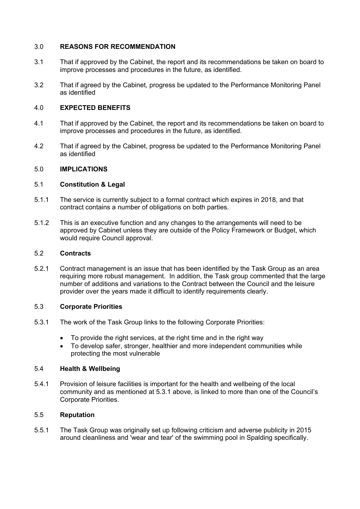# 3.0 **REASONS FOR RECOMMENDATION**

- 3.1 That if approved by the Cabinet, the report and its recommendations be taken on board to improve processes and procedures in the future, as identified.
- 3.2 That if agreed by the Cabinet, progress be updated to the Performance Monitoring Panel as identified

## 4.0 **EXPECTED BENEFITS**

- 4.1 That if approved by the Cabinet, the report and its recommendations be taken on board to improve processes and procedures in the future, as identified.
- 4.2 That if agreed by the Cabinet, progress be updated to the Performance Monitoring Panel as identified

### 5.0 **IMPLICATIONS**

## 5.1 **Constitution & Legal**

- 5.1.1 The service is currently subject to a formal contract which expires in 2018, and that contract contains a number of obligations on both parties.
- 5.1.2 This is an executive function and any changes to the arrangements will need to be approved by Cabinet unless they are outside of the Policy Framework or Budget, which would require Council approval.

#### 5.2 **Contracts**

5.2.1 Contract management is an issue that has been identified by the Task Group as an area requiring more robust management. In addition, the Task group commented that the large number of additions and variations to the Contract between the Council and the leisure provider over the years made it difficult to identify requirements clearly.

#### 5.3 **Corporate Priorities**

- 5.3.1 The work of the Task Group links to the following Corporate Priorities:
	- To provide the right services, at the right time and in the right way
	- To develop safer, stronger, healthier and more independent communities while protecting the most vulnerable

#### 5.4 **Health & Wellbeing**

5.4.1 Provision of leisure facilities is important for the health and wellbeing of the local community and as mentioned at 5.3.1 above, is linked to more than one of the Council's Corporate Priorities.

#### 5.5 **Reputation**

5.5.1 The Task Group was originally set up following criticism and adverse publicity in 2015 around cleanliness and 'wear and tear' of the swimming pool in Spalding specifically.